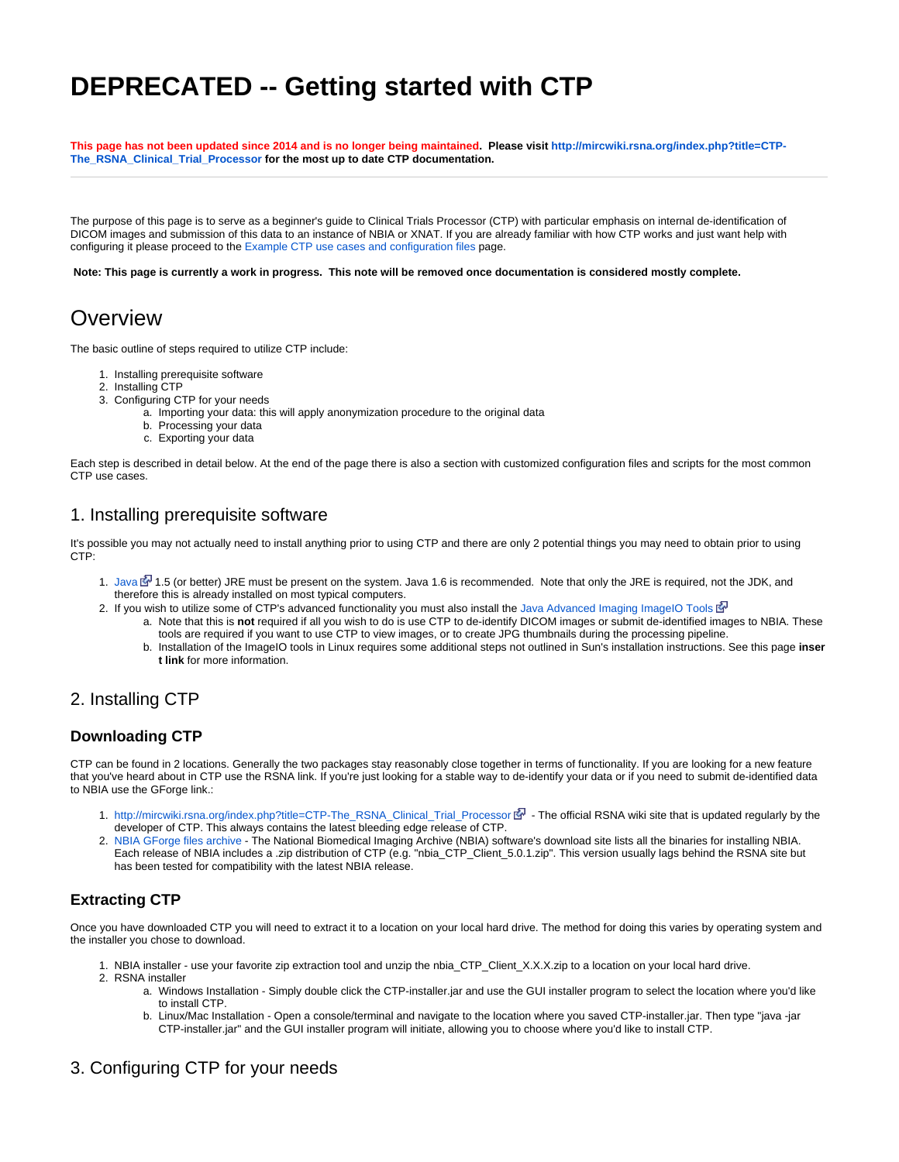# **DEPRECATED -- Getting started with CTP**

This page has not been updated since 2014 and is no longer being maintained. Please visit [http://mircwiki.rsna.org/index.php?title=CTP-](http://mircwiki.rsna.org/index.php?title=CTP-The_RSNA_Clinical_Trial_Processor)**[The\\_RSNA\\_Clinical\\_Trial\\_Processor](http://mircwiki.rsna.org/index.php?title=CTP-The_RSNA_Clinical_Trial_Processor) for the most up to date CTP documentation.**

The purpose of this page is to serve as a beginner's guide to Clinical Trials Processor (CTP) with particular emphasis on internal de-identification of DICOM images and submission of this data to an instance of NBIA or XNAT. If you are already familiar with how CTP works and just want help with configuring it please proceed to the [Example CTP use cases and configuration files](https://wiki.nci.nih.gov/display/CIP/Example+CTP+use+cases+and+configuration+files) page.

**Note: This page is currently a work in progress. This note will be removed once documentation is considered mostly complete.**

# **Overview**

The basic outline of steps required to utilize CTP include:

- 1. Installing prerequisite software
- 2. Installing CTP
- 3. Configuring CTP for your needs
	- a. Importing your data: this will apply anonymization procedure to the original data
	- b. Processing your data
	- c. Exporting your data

Each step is described in detail below. At the end of the page there is also a section with customized configuration files and scripts for the most common CTP use cases.

### 1. Installing prerequisite software

It's possible you may not actually need to install anything prior to using CTP and there are only 2 potential things you may need to obtain prior to using  $CTP$ 

- 1. [Java](http://www.oracle.com/technetwork/java/javase/downloads/index.html) & [1](http://www.cancer.gov/policies/linking).5 (or better) JRE must be present on the system. Java 1.6 is recommended. Note that only the JRE is required, not the JDK, and therefore this is already installed on most typical computers.
- 2. If you wish to utilize some of CTP's advanced functionality you must also install the [Java Advanced Imaging ImageIO Tools](http://download.java.net/media/jai-imageio/builds/release/1.1/)
	- a. Note that this is **not** required if all you wish to do is use CTP to de-identify DICOM images or submit de-identified images to NBIA. These tools are required if you want to use CTP to view images, or to create JPG thumbnails during the processing pipeline.
	- b. Installation of the ImageIO tools in Linux requires some additional steps not outlined in Sun's installation instructions. See this page **inser t link** for more information.

# 2. Installing CTP

### **Downloading CTP**

CTP can be found in 2 locations. Generally the two packages stay reasonably close together in terms of functionality. If you are looking for a new feature that you've heard about in CTP use the RSNA link. If you're just looking for a stable way to de-identify your data or if you need to submit de-identified data to NBIA use the GForge link.:

- 1. [http://mircwiki.rsna.org/index.php?title=CTP-The\\_RSNA\\_Clinical\\_Trial\\_Processor](http://mircwiki.rsna.org/index.php?title=CTP-The_RSNA_Clinical_Trial_Processor) ଙ• The official RSNA wiki site that is updated regularly by the developer of CTP. This always contains the latest bleeding edge release of CTP.
- 2. [NBIA GForge files archive](https://wiki.nci.nih.gov/pages/viewpage.action?pageId=115671213)  The National Biomedical Imaging Archive (NBIA) software's download site lists all the binaries for installing NBIA. Each release of NBIA includes a .zip distribution of CTP (e.g. "nbia\_CTP\_Client\_5.0.1.zip". This version usually lags behind the RSNA site but has been tested for compatibility with the latest NBIA release.

# **Extracting CTP**

Once you have downloaded CTP you will need to extract it to a location on your local hard drive. The method for doing this varies by operating system and the installer you chose to download.

- 1. NBIA installer use your favorite zip extraction tool and unzip the nbia\_CTP\_Client\_X.X.X.zip to a location on your local hard drive.
- 2. RSNA installer
	- a. Windows Installation Simply double click the CTP-installer.jar and use the GUI installer program to select the location where you'd like to install CTP.
	- b. Linux/Mac Installation Open a console/terminal and navigate to the location where you saved CTP-installer.jar. Then type "java -jar CTP-installer.jar" and the GUI installer program will initiate, allowing you to choose where you'd like to install CTP.

# 3. Configuring CTP for your needs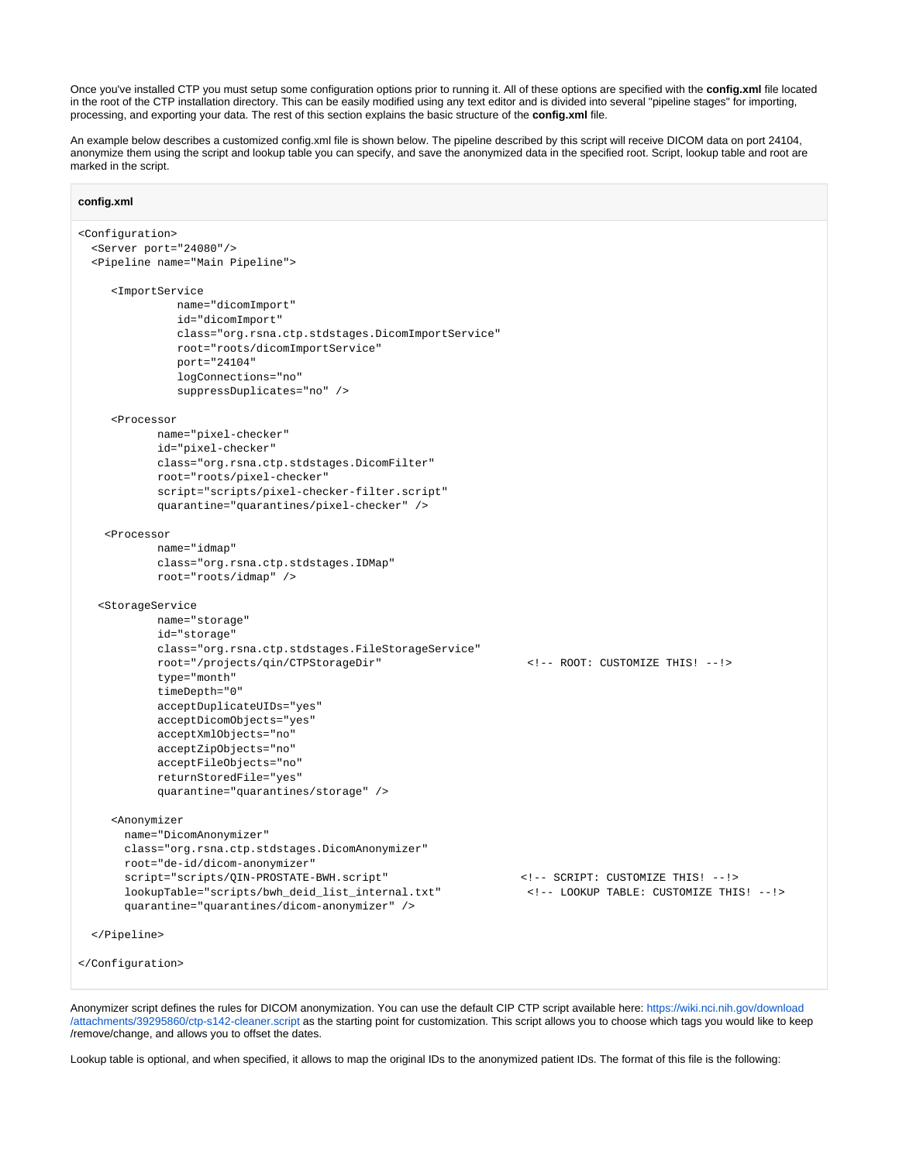Once you've installed CTP you must setup some configuration options prior to running it. All of these options are specified with the **config.xml** file located in the root of the CTP installation directory. This can be easily modified using any text editor and is divided into several "pipeline stages" for importing, processing, and exporting your data. The rest of this section explains the basic structure of the **config.xml** file.

An example below describes a customized config.xml file is shown below. The pipeline described by this script will receive DICOM data on port 24104, anonymize them using the script and lookup table you can specify, and save the anonymized data in the specified root. Script, lookup table and root are marked in the script.

#### **config.xml**

```
<Configuration>
  <Server port="24080"/>
   <Pipeline name="Main Pipeline">
     <ImportService 
               name="dicomImport"
               id="dicomImport"
               class="org.rsna.ctp.stdstages.DicomImportService"
               root="roots/dicomImportService" 
                port="24104" 
               logConnections="no"
               suppressDuplicates="no" />
     <Processor
            name="pixel-checker"
            id="pixel-checker"
            class="org.rsna.ctp.stdstages.DicomFilter"
            root="roots/pixel-checker" 
            script="scripts/pixel-checker-filter.script"
            quarantine="quarantines/pixel-checker" />
     <Processor
            name="idmap"
            class="org.rsna.ctp.stdstages.IDMap"
            root="roots/idmap" />
    <StorageService
            name="storage"
            id="storage"
            class="org.rsna.ctp.stdstages.FileStorageService"
            root="/projects/qin/CTPStorageDir" <!-- ROOT: CUSTOMIZE THIS! --!>
            type="month"
            timeDepth="0"
            acceptDuplicateUIDs="yes"
            acceptDicomObjects="yes"
            acceptXmlObjects="no"
            acceptZipObjects="no"
            acceptFileObjects="no" 
            returnStoredFile="yes"
            quarantine="quarantines/storage" />
     <Anonymizer
       name="DicomAnonymizer"
       class="org.rsna.ctp.stdstages.DicomAnonymizer"
       root="de-id/dicom-anonymizer"
       script="scripts/QIN-PROSTATE-BWH.script" <!-- SCRIPT: CUSTOMIZE THIS! --!>
       lookupTable="scripts/bwh_deid_list_internal.txt" <!-- LOOKUP TABLE: CUSTOMIZE THIS! --!>
       quarantine="quarantines/dicom-anonymizer" />
   </Pipeline>
</Configuration>
```
Anonymizer script defines the rules for DICOM anonymization. You can use the default CIP CTP script available here: [https://wiki.nci.nih.gov/download](https://wiki.nci.nih.gov/download/attachments/39295860/ctp-s142-cleaner.script) [/attachments/39295860/ctp-s142-cleaner.script](https://wiki.nci.nih.gov/download/attachments/39295860/ctp-s142-cleaner.script) as the starting point for customization. This script allows you to choose which tags you would like to keep /remove/change, and allows you to offset the dates.

Lookup table is optional, and when specified, it allows to map the original IDs to the anonymized patient IDs. The format of this file is the following: